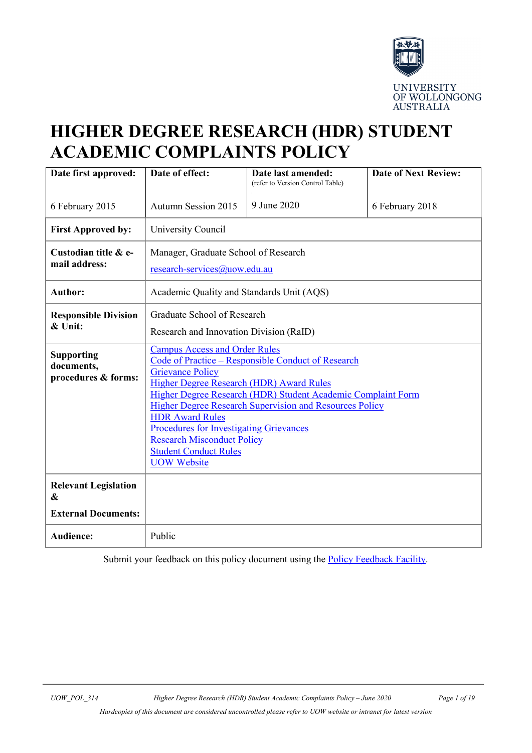

# **HIGHER DEGREE RESEARCH (HDR) STUDENT ACADEMIC COMPLAINTS POLICY**

| Date first approved:                                                                    | Date of effect:                                                                                                                                                                                                                                                                                                                                                                                                                                                            | Date last amended:<br>(refer to Version Control Table) | <b>Date of Next Review:</b> |  |
|-----------------------------------------------------------------------------------------|----------------------------------------------------------------------------------------------------------------------------------------------------------------------------------------------------------------------------------------------------------------------------------------------------------------------------------------------------------------------------------------------------------------------------------------------------------------------------|--------------------------------------------------------|-----------------------------|--|
| 6 February 2015                                                                         | <b>Autumn Session 2015</b>                                                                                                                                                                                                                                                                                                                                                                                                                                                 | 9 June 2020                                            | 6 February 2018             |  |
| <b>First Approved by:</b>                                                               | University Council                                                                                                                                                                                                                                                                                                                                                                                                                                                         |                                                        |                             |  |
| Custodian title & e-<br>mail address:                                                   | Manager, Graduate School of Research<br>research-services@uow.edu.au                                                                                                                                                                                                                                                                                                                                                                                                       |                                                        |                             |  |
| <b>Author:</b>                                                                          | Academic Quality and Standards Unit (AQS)                                                                                                                                                                                                                                                                                                                                                                                                                                  |                                                        |                             |  |
| <b>Responsible Division</b><br>& Unit:                                                  | Graduate School of Research<br>Research and Innovation Division (RaID)                                                                                                                                                                                                                                                                                                                                                                                                     |                                                        |                             |  |
| <b>Supporting</b><br>documents,<br>procedures & forms:                                  | <b>Campus Access and Order Rules</b><br>Code of Practice – Responsible Conduct of Research<br><b>Grievance Policy</b><br>Higher Degree Research (HDR) Award Rules<br>Higher Degree Research (HDR) Student Academic Complaint Form<br><b>Higher Degree Research Supervision and Resources Policy</b><br><b>HDR Award Rules</b><br><b>Procedures for Investigating Grievances</b><br><b>Research Misconduct Policy</b><br><b>Student Conduct Rules</b><br><b>UOW</b> Website |                                                        |                             |  |
| <b>Relevant Legislation</b><br>$\boldsymbol{\mathcal{X}}$<br><b>External Documents:</b> |                                                                                                                                                                                                                                                                                                                                                                                                                                                                            |                                                        |                             |  |
| <b>Audience:</b>                                                                        | Public                                                                                                                                                                                                                                                                                                                                                                                                                                                                     |                                                        |                             |  |

Submit your feedback on this policy document using the **Policy Feedback Facility**.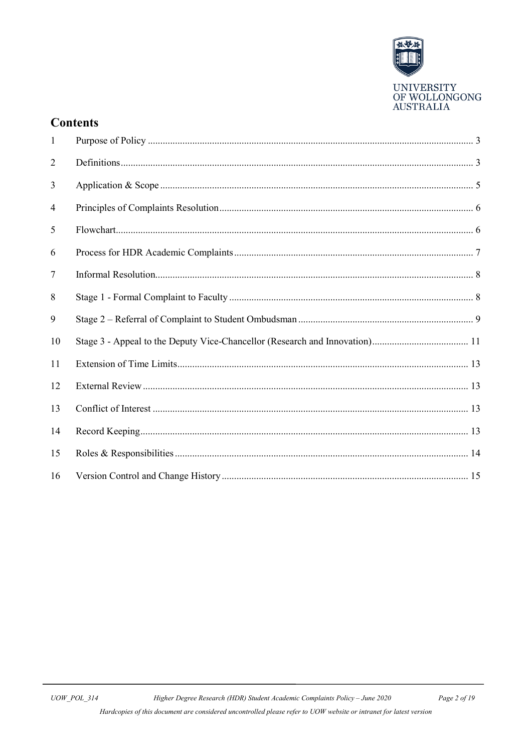

## **Contents**

| $\mathbf{1}$ |  |
|--------------|--|
| 2            |  |
| 3            |  |
| 4            |  |
| 5            |  |
| 6            |  |
| $\tau$       |  |
| 8            |  |
| 9            |  |
| 10           |  |
| 11           |  |
| 12           |  |
| 13           |  |
| 14           |  |
| 15           |  |
| 16           |  |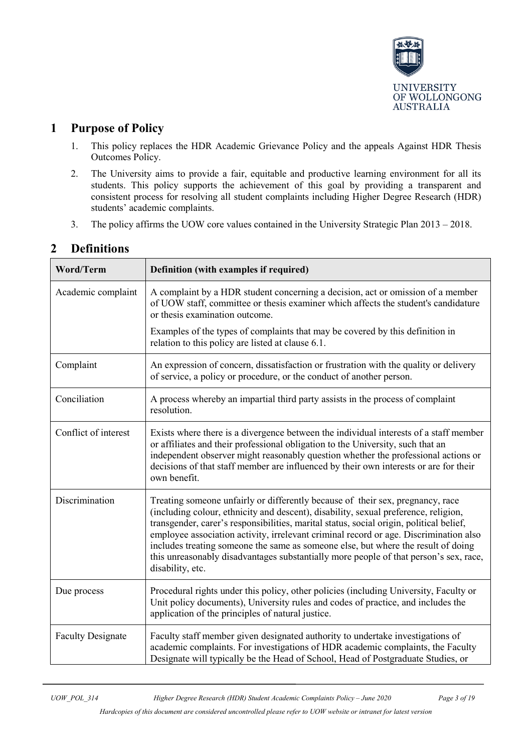

## <span id="page-2-0"></span>**1 Purpose of Policy**

- 1. This policy replaces the HDR Academic Grievance Policy and the appeals Against HDR Thesis Outcomes Policy.
- 2. The University aims to provide a fair, equitable and productive learning environment for all its students. This policy supports the achievement of this goal by providing a transparent and consistent process for resolving all student complaints including Higher Degree Research (HDR) students' academic complaints.
- 3. The policy affirms the UOW core values contained in the University Strategic Plan 2013 2018.

| Word/Term                | Definition (with examples if required)                                                                                                                                                                                                                                                                                                                                                                                                                                                                                                                      |  |
|--------------------------|-------------------------------------------------------------------------------------------------------------------------------------------------------------------------------------------------------------------------------------------------------------------------------------------------------------------------------------------------------------------------------------------------------------------------------------------------------------------------------------------------------------------------------------------------------------|--|
| Academic complaint       | A complaint by a HDR student concerning a decision, act or omission of a member<br>of UOW staff, committee or thesis examiner which affects the student's candidature<br>or thesis examination outcome.                                                                                                                                                                                                                                                                                                                                                     |  |
|                          | Examples of the types of complaints that may be covered by this definition in<br>relation to this policy are listed at clause 6.1.                                                                                                                                                                                                                                                                                                                                                                                                                          |  |
| Complaint                | An expression of concern, dissatisfaction or frustration with the quality or delivery<br>of service, a policy or procedure, or the conduct of another person.                                                                                                                                                                                                                                                                                                                                                                                               |  |
| Conciliation             | A process whereby an impartial third party assists in the process of complaint<br>resolution.                                                                                                                                                                                                                                                                                                                                                                                                                                                               |  |
| Conflict of interest     | Exists where there is a divergence between the individual interests of a staff member<br>or affiliates and their professional obligation to the University, such that an<br>independent observer might reasonably question whether the professional actions or<br>decisions of that staff member are influenced by their own interests or are for their<br>own benefit.                                                                                                                                                                                     |  |
| Discrimination           | Treating someone unfairly or differently because of their sex, pregnancy, race<br>(including colour, ethnicity and descent), disability, sexual preference, religion,<br>transgender, carer's responsibilities, marital status, social origin, political belief,<br>employee association activity, irrelevant criminal record or age. Discrimination also<br>includes treating someone the same as someone else, but where the result of doing<br>this unreasonably disadvantages substantially more people of that person's sex, race,<br>disability, etc. |  |
| Due process              | Procedural rights under this policy, other policies (including University, Faculty or<br>Unit policy documents), University rules and codes of practice, and includes the<br>application of the principles of natural justice.                                                                                                                                                                                                                                                                                                                              |  |
| <b>Faculty Designate</b> | Faculty staff member given designated authority to undertake investigations of<br>academic complaints. For investigations of HDR academic complaints, the Faculty<br>Designate will typically be the Head of School, Head of Postgraduate Studies, or                                                                                                                                                                                                                                                                                                       |  |

## <span id="page-2-1"></span>**2 Definitions**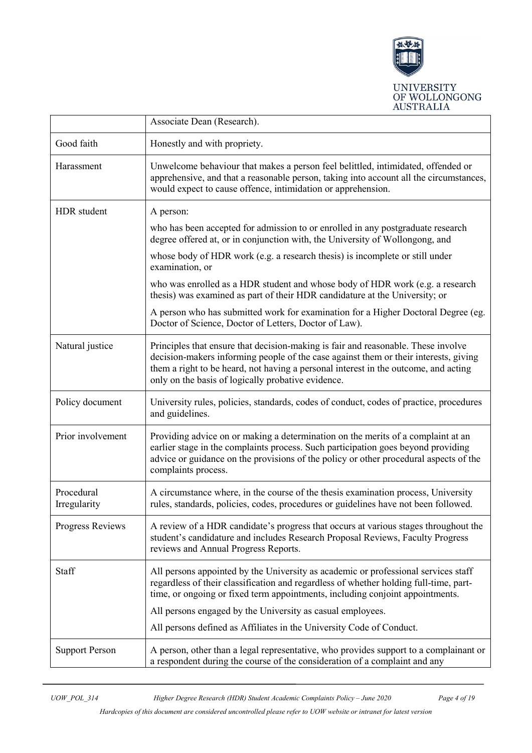

|                            | Associate Dean (Research).                                                                                                                                                                                                                                                                                             |  |
|----------------------------|------------------------------------------------------------------------------------------------------------------------------------------------------------------------------------------------------------------------------------------------------------------------------------------------------------------------|--|
| Good faith                 | Honestly and with propriety.                                                                                                                                                                                                                                                                                           |  |
| Harassment                 | Unwelcome behaviour that makes a person feel belittled, intimidated, offended or<br>apprehensive, and that a reasonable person, taking into account all the circumstances,<br>would expect to cause offence, intimidation or apprehension.                                                                             |  |
| HDR student                | A person:                                                                                                                                                                                                                                                                                                              |  |
|                            | who has been accepted for admission to or enrolled in any postgraduate research<br>degree offered at, or in conjunction with, the University of Wollongong, and                                                                                                                                                        |  |
|                            | whose body of HDR work (e.g. a research thesis) is incomplete or still under<br>examination, or                                                                                                                                                                                                                        |  |
|                            | who was enrolled as a HDR student and whose body of HDR work (e.g. a research<br>thesis) was examined as part of their HDR candidature at the University; or                                                                                                                                                           |  |
|                            | A person who has submitted work for examination for a Higher Doctoral Degree (eg.<br>Doctor of Science, Doctor of Letters, Doctor of Law).                                                                                                                                                                             |  |
| Natural justice            | Principles that ensure that decision-making is fair and reasonable. These involve<br>decision-makers informing people of the case against them or their interests, giving<br>them a right to be heard, not having a personal interest in the outcome, and acting<br>only on the basis of logically probative evidence. |  |
| Policy document            | University rules, policies, standards, codes of conduct, codes of practice, procedures<br>and guidelines.                                                                                                                                                                                                              |  |
| Prior involvement          | Providing advice on or making a determination on the merits of a complaint at an<br>earlier stage in the complaints process. Such participation goes beyond providing<br>advice or guidance on the provisions of the policy or other procedural aspects of the<br>complaints process.                                  |  |
| Procedural<br>Irregularity | A circumstance where, in the course of the thesis examination process, University<br>rules, standards, policies, codes, procedures or guidelines have not been followed.                                                                                                                                               |  |
| Progress Reviews           | A review of a HDR candidate's progress that occurs at various stages throughout the<br>student's candidature and includes Research Proposal Reviews, Faculty Progress<br>reviews and Annual Progress Reports.                                                                                                          |  |
| Staff                      | All persons appointed by the University as academic or professional services staff<br>regardless of their classification and regardless of whether holding full-time, part-<br>time, or ongoing or fixed term appointments, including conjoint appointments.                                                           |  |
|                            | All persons engaged by the University as casual employees.                                                                                                                                                                                                                                                             |  |
|                            | All persons defined as Affiliates in the University Code of Conduct.                                                                                                                                                                                                                                                   |  |
| <b>Support Person</b>      | A person, other than a legal representative, who provides support to a complainant or<br>a respondent during the course of the consideration of a complaint and any                                                                                                                                                    |  |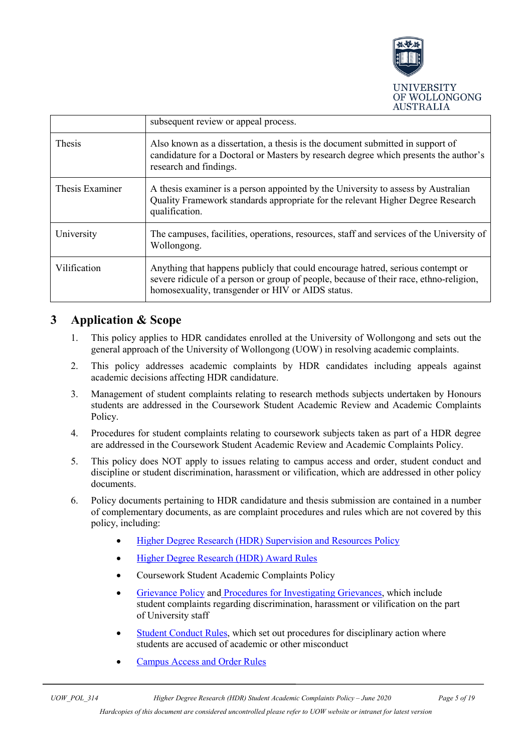

|                 | subsequent review or appeal process.                                                                                                                                                                                           |
|-----------------|--------------------------------------------------------------------------------------------------------------------------------------------------------------------------------------------------------------------------------|
| <b>Thesis</b>   | Also known as a dissertation, a thesis is the document submitted in support of<br>candidature for a Doctoral or Masters by research degree which presents the author's<br>research and findings.                               |
| Thesis Examiner | A thesis examiner is a person appointed by the University to assess by Australian<br>Quality Framework standards appropriate for the relevant Higher Degree Research<br>qualification.                                         |
| University      | The campuses, facilities, operations, resources, staff and services of the University of<br>Wollongong.                                                                                                                        |
| Vilification    | Anything that happens publicly that could encourage hatred, serious contempt or<br>severe ridicule of a person or group of people, because of their race, ethno-religion,<br>homosexuality, transgender or HIV or AIDS status. |

## <span id="page-4-0"></span>**3 Application & Scope**

- 1. This policy applies to HDR candidates enrolled at the University of Wollongong and sets out the general approach of the University of Wollongong (UOW) in resolving academic complaints.
- 2. This policy addresses academic complaints by HDR candidates including appeals against academic decisions affecting HDR candidature.
- 3. Management of student complaints relating to research methods subjects undertaken by Honours students are addressed in the Coursework Student Academic Review and Academic Complaints Policy.
- 4. Procedures for student complaints relating to coursework subjects taken as part of a HDR degree are addressed in the Coursework Student Academic Review and Academic Complaints Policy.
- 5. This policy does NOT apply to issues relating to campus access and order, student conduct and discipline or student discrimination, harassment or vilification, which are addressed in other policy documents.
- 6. Policy documents pertaining to HDR candidature and thesis submission are contained in a number of complementary documents, as are complaint procedures and rules which are not covered by this policy, including:
	- [Higher Degree Research \(HDR\) Supervision and Resources Policy](http://www.uow.edu.au/about/policy/UOW058665.html)
	- [Higher Degree Research \(HDR\) Award Rules](https://documents.uow.edu.au/about/policy/ssLINK/UOW262891)
	- Coursework Student Academic Complaints Policy
	- [Grievance Policy](http://www.uow.edu.au/about/policy/UOW058683.html) and [Procedures for Investigating Grievances,](http://www.uow.edu.au/about/policy/UOW058640.html) which include student complaints regarding discrimination, harassment or vilification on the part of University staff
	- [Student Conduct Rules,](http://www.uow.edu.au/about/policy/rules/UOW060095.html) which set out procedures for disciplinary action where students are accused of academic or other misconduct
	- [Campus Access and Order Rules](http://www.uow.edu.au/about/policy/UOW058655.html)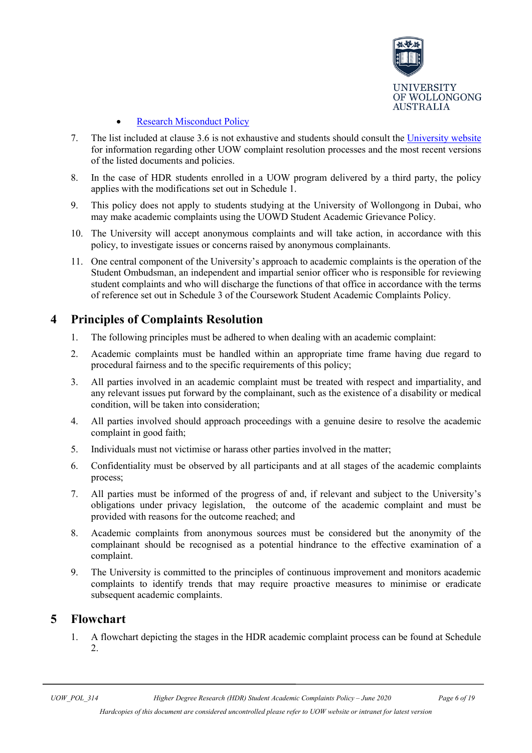

#### **[Research Misconduct Policy](http://www.uow.edu.au/about/policy/UOW058715.html)**

- 7. The list included at clause 3.6 is not exhaustive and students should consult the [University website](http://www.uow.edu.au/) for information regarding other UOW complaint resolution processes and the most recent versions of the listed documents and policies.
- 8. In the case of HDR students enrolled in a UOW program delivered by a third party, the policy applies with the modifications set out in Schedule 1.
- 9. This policy does not apply to students studying at the University of Wollongong in Dubai, who may make academic complaints using the UOWD Student Academic Grievance Policy.
- 10. The University will accept anonymous complaints and will take action, in accordance with this policy, to investigate issues or concerns raised by anonymous complainants.
- 11. One central component of the University's approach to academic complaints is the operation of the Student Ombudsman, an independent and impartial senior officer who is responsible for reviewing student complaints and who will discharge the functions of that office in accordance with the terms of reference set out in Schedule 3 of the Coursework Student Academic Complaints Policy.

## <span id="page-5-0"></span>**4 Principles of Complaints Resolution**

- 1. The following principles must be adhered to when dealing with an academic complaint:
- 2. Academic complaints must be handled within an appropriate time frame having due regard to procedural fairness and to the specific requirements of this policy;
- 3. All parties involved in an academic complaint must be treated with respect and impartiality, and any relevant issues put forward by the complainant, such as the existence of a disability or medical condition, will be taken into consideration;
- 4. All parties involved should approach proceedings with a genuine desire to resolve the academic complaint in good faith;
- 5. Individuals must not victimise or harass other parties involved in the matter;
- 6. Confidentiality must be observed by all participants and at all stages of the academic complaints process;
- 7. All parties must be informed of the progress of and, if relevant and subject to the University's obligations under privacy legislation, the outcome of the academic complaint and must be provided with reasons for the outcome reached; and
- 8. Academic complaints from anonymous sources must be considered but the anonymity of the complainant should be recognised as a potential hindrance to the effective examination of a complaint.
- 9. The University is committed to the principles of continuous improvement and monitors academic complaints to identify trends that may require proactive measures to minimise or eradicate subsequent academic complaints.

## <span id="page-5-1"></span>**5 Flowchart**

1. A flowchart depicting the stages in the HDR academic complaint process can be found at Schedule 2.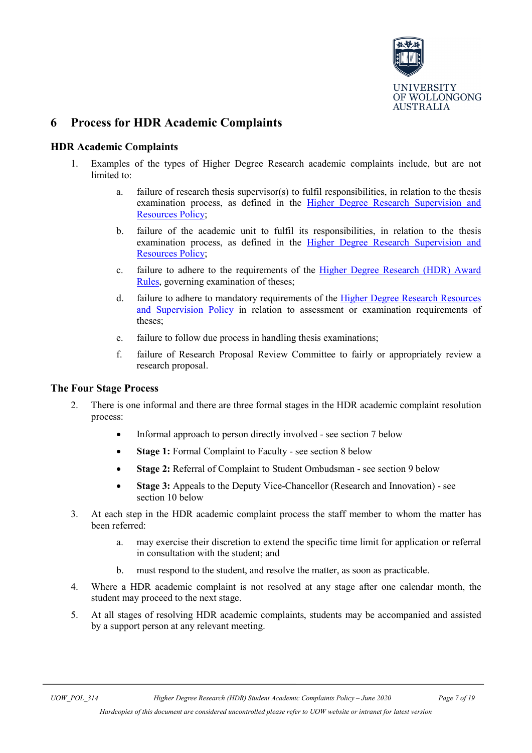

## <span id="page-6-0"></span>**6 Process for HDR Academic Complaints**

#### **HDR Academic Complaints**

- 1. Examples of the types of Higher Degree Research academic complaints include, but are not limited to:
	- a. failure of research thesis supervisor(s) to fulfil responsibilities, in relation to the thesis examination process, as defined in the [Higher Degree Research Supervision and](http://www.uow.edu.au/about/policy/UOW058665.html)  [Resources Policy;](http://www.uow.edu.au/about/policy/UOW058665.html)
	- b. failure of the academic unit to fulfil its responsibilities, in relation to the thesis examination process, as defined in the [Higher Degree Research Supervision and](http://www.uow.edu.au/about/policy/UOW058665.html)  [Resources Policy;](http://www.uow.edu.au/about/policy/UOW058665.html)
	- c. failure to adhere to the requirements of the [Higher Degree Research \(HDR\) Award](https://documents.uow.edu.au/about/policy/ssLINK/UOW262891)  [Rules,](https://documents.uow.edu.au/about/policy/ssLINK/UOW262891) governing examination of theses;
	- d. failure to adhere to mandatory requirements of the Higher Degree Research Resources [and Supervision Policy](http://www.uow.edu.au/about/policy/UOW058665.html) in relation to assessment or examination requirements of theses;
	- e. failure to follow due process in handling thesis examinations;
	- f. failure of Research Proposal Review Committee to fairly or appropriately review a research proposal.

#### **The Four Stage Process**

- 2. There is one informal and there are three formal stages in the HDR academic complaint resolution process:
	- Informal approach to person directly involved see section 7 below
	- **Stage 1:** Formal Complaint to Faculty see section 8 below
	- **Stage 2:** Referral of Complaint to Student Ombudsman see section 9 below
	- **Stage 3:** Appeals to the Deputy Vice-Chancellor (Research and Innovation) see section 10 below
- 3. At each step in the HDR academic complaint process the staff member to whom the matter has been referred:
	- a. may exercise their discretion to extend the specific time limit for application or referral in consultation with the student; and
	- b. must respond to the student, and resolve the matter, as soon as practicable.
- 4. Where a HDR academic complaint is not resolved at any stage after one calendar month, the student may proceed to the next stage.
- 5. At all stages of resolving HDR academic complaints, students may be accompanied and assisted by a support person at any relevant meeting.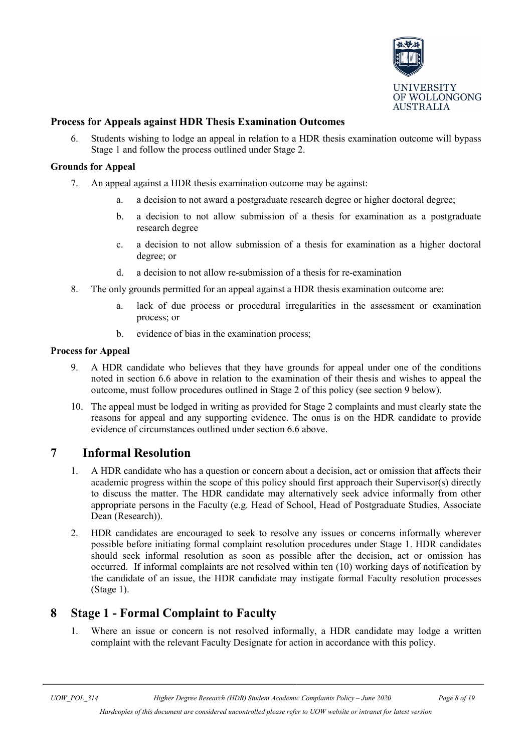

#### **Process for Appeals against HDR Thesis Examination Outcomes**

6. Students wishing to lodge an appeal in relation to a HDR thesis examination outcome will bypass Stage 1 and follow the process outlined under Stage 2.

#### **Grounds for Appeal**

- 7. An appeal against a HDR thesis examination outcome may be against:
	- a. a decision to not award a postgraduate research degree or higher doctoral degree;
	- b. a decision to not allow submission of a thesis for examination as a postgraduate research degree
	- c. a decision to not allow submission of a thesis for examination as a higher doctoral degree; or
	- d. a decision to not allow re-submission of a thesis for re-examination
- 8. The only grounds permitted for an appeal against a HDR thesis examination outcome are:
	- a. lack of due process or procedural irregularities in the assessment or examination process; or
	- b. evidence of bias in the examination process;

#### **Process for Appeal**

- 9. A HDR candidate who believes that they have grounds for appeal under one of the conditions noted in section 6.6 above in relation to the examination of their thesis and wishes to appeal the outcome, must follow procedures outlined in Stage 2 of this policy (see section 9 below).
- 10. The appeal must be lodged in writing as provided for Stage 2 complaints and must clearly state the reasons for appeal and any supporting evidence. The onus is on the HDR candidate to provide evidence of circumstances outlined under section 6.6 above.

## **7 Informal Resolution**

- <span id="page-7-0"></span>1. A HDR candidate who has a question or concern about a decision, act or omission that affects their academic progress within the scope of this policy should first approach their Supervisor(s) directly to discuss the matter. The HDR candidate may alternatively seek advice informally from other appropriate persons in the Faculty (e.g. Head of School, Head of Postgraduate Studies, Associate Dean (Research)).
- 2. HDR candidates are encouraged to seek to resolve any issues or concerns informally wherever possible before initiating formal complaint resolution procedures under Stage 1. HDR candidates should seek informal resolution as soon as possible after the decision, act or omission has occurred. If informal complaints are not resolved within ten (10) working days of notification by the candidate of an issue, the HDR candidate may instigate formal Faculty resolution processes (Stage 1).

## <span id="page-7-1"></span>**8 Stage 1 - Formal Complaint to Faculty**

1. Where an issue or concern is not resolved informally, a HDR candidate may lodge a written complaint with the relevant Faculty Designate for action in accordance with this policy.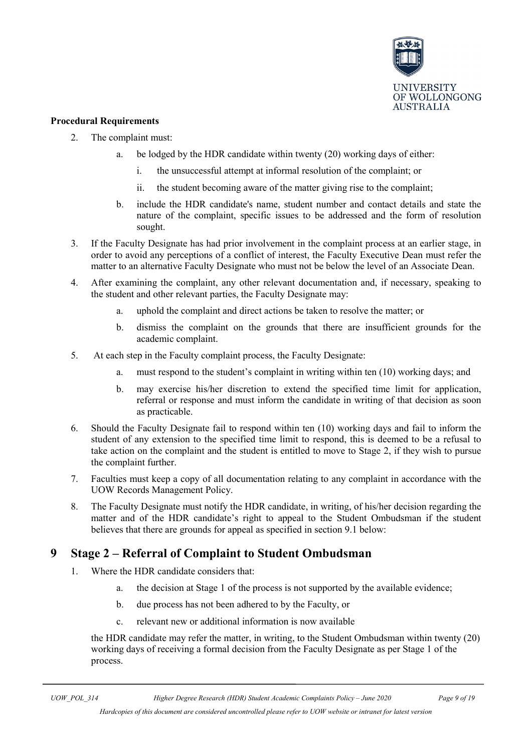

#### **Procedural Requirements**

- 2. The complaint must:
	- a. be lodged by the HDR candidate within twenty (20) working days of either:
		- i. the unsuccessful attempt at informal resolution of the complaint; or
		- ii. the student becoming aware of the matter giving rise to the complaint;
	- b. include the HDR candidate's name, student number and contact details and state the nature of the complaint, specific issues to be addressed and the form of resolution sought.
- 3. If the Faculty Designate has had prior involvement in the complaint process at an earlier stage, in order to avoid any perceptions of a conflict of interest, the Faculty Executive Dean must refer the matter to an alternative Faculty Designate who must not be below the level of an Associate Dean.
- 4. After examining the complaint, any other relevant documentation and, if necessary, speaking to the student and other relevant parties, the Faculty Designate may:
	- a. uphold the complaint and direct actions be taken to resolve the matter; or
	- b. dismiss the complaint on the grounds that there are insufficient grounds for the academic complaint.
- 5. At each step in the Faculty complaint process, the Faculty Designate:
	- a. must respond to the student's complaint in writing within ten (10) working days; and
	- b. may exercise his/her discretion to extend the specified time limit for application, referral or response and must inform the candidate in writing of that decision as soon as practicable.
- 6. Should the Faculty Designate fail to respond within ten (10) working days and fail to inform the student of any extension to the specified time limit to respond, this is deemed to be a refusal to take action on the complaint and the student is entitled to move to Stage 2, if they wish to pursue the complaint further.
- 7. Faculties must keep a copy of all documentation relating to any complaint in accordance with the UOW Records Management Policy.
- 8. The Faculty Designate must notify the HDR candidate, in writing, of his/her decision regarding the matter and of the HDR candidate's right to appeal to the Student Ombudsman if the student believes that there are grounds for appeal as specified in section 9.1 below:

## <span id="page-8-0"></span>**9 Stage 2 – Referral of Complaint to Student Ombudsman**

- 1. Where the HDR candidate considers that:
	- a. the decision at Stage 1 of the process is not supported by the available evidence;
	- b. due process has not been adhered to by the Faculty, or
	- c. relevant new or additional information is now available

the HDR candidate may refer the matter, in writing, to the Student Ombudsman within twenty (20) working days of receiving a formal decision from the Faculty Designate as per Stage 1 of the process.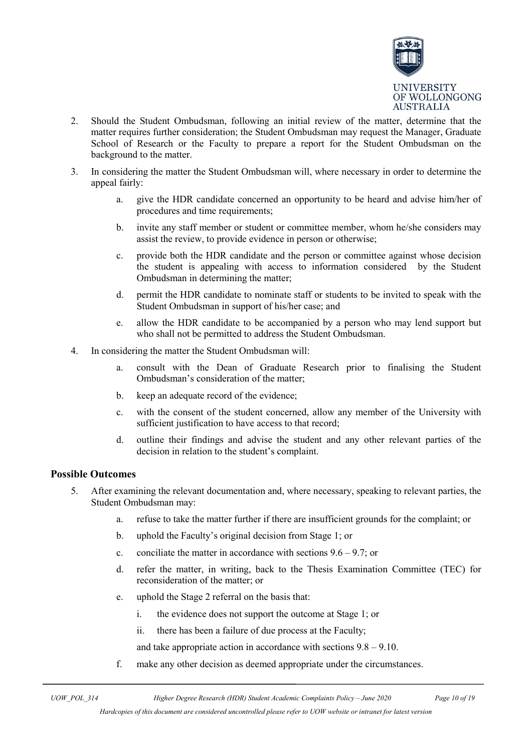

- 2. Should the Student Ombudsman, following an initial review of the matter, determine that the matter requires further consideration; the Student Ombudsman may request the Manager, Graduate School of Research or the Faculty to prepare a report for the Student Ombudsman on the background to the matter.
- 3. In considering the matter the Student Ombudsman will, where necessary in order to determine the appeal fairly:
	- a. give the HDR candidate concerned an opportunity to be heard and advise him/her of procedures and time requirements;
	- b. invite any staff member or student or committee member, whom he/she considers may assist the review, to provide evidence in person or otherwise;
	- c. provide both the HDR candidate and the person or committee against whose decision the student is appealing with access to information considered by the Student Ombudsman in determining the matter;
	- d. permit the HDR candidate to nominate staff or students to be invited to speak with the Student Ombudsman in support of his/her case; and
	- e. allow the HDR candidate to be accompanied by a person who may lend support but who shall not be permitted to address the Student Ombudsman.
- 4. In considering the matter the Student Ombudsman will:
	- a. consult with the Dean of Graduate Research prior to finalising the Student Ombudsman's consideration of the matter;
	- b. keep an adequate record of the evidence;
	- c. with the consent of the student concerned, allow any member of the University with sufficient justification to have access to that record;
	- d. outline their findings and advise the student and any other relevant parties of the decision in relation to the student's complaint.

#### **Possible Outcomes**

- 5. After examining the relevant documentation and, where necessary, speaking to relevant parties, the Student Ombudsman may:
	- a. refuse to take the matter further if there are insufficient grounds for the complaint; or
	- b. uphold the Faculty's original decision from Stage 1; or
	- c. conciliate the matter in accordance with sections  $9.6 9.7$ ; or
	- d. refer the matter, in writing, back to the Thesis Examination Committee (TEC) for reconsideration of the matter; or
	- e. uphold the Stage 2 referral on the basis that:
		- i. the evidence does not support the outcome at Stage 1; or
		- ii. there has been a failure of due process at the Faculty;

and take appropriate action in accordance with sections 9.8 – 9.10.

f. make any other decision as deemed appropriate under the circumstances.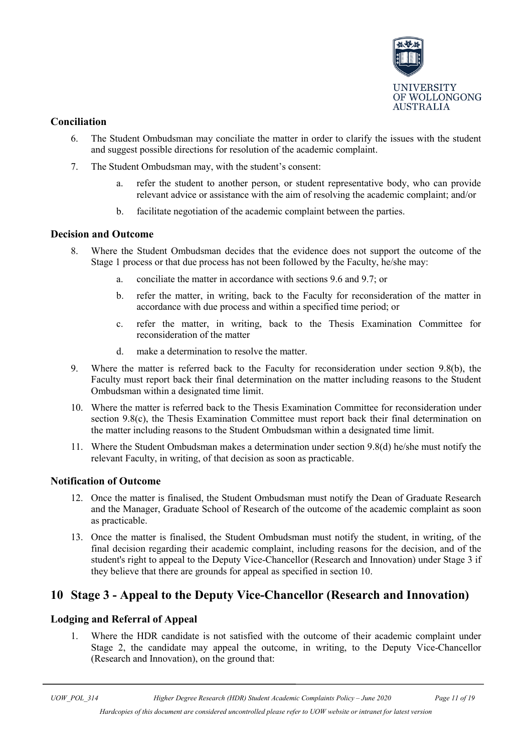

#### **Conciliation**

- 6. The Student Ombudsman may conciliate the matter in order to clarify the issues with the student and suggest possible directions for resolution of the academic complaint.
- 7. The Student Ombudsman may, with the student's consent:
	- a. refer the student to another person, or student representative body, who can provide relevant advice or assistance with the aim of resolving the academic complaint; and/or
	- b. facilitate negotiation of the academic complaint between the parties.

#### **Decision and Outcome**

- 8. Where the Student Ombudsman decides that the evidence does not support the outcome of the Stage 1 process or that due process has not been followed by the Faculty, he/she may:
	- a. conciliate the matter in accordance with sections 9.6 and 9.7; or
	- b. refer the matter, in writing, back to the Faculty for reconsideration of the matter in accordance with due process and within a specified time period; or
	- c. refer the matter, in writing, back to the Thesis Examination Committee for reconsideration of the matter
	- d. make a determination to resolve the matter.
- 9. Where the matter is referred back to the Faculty for reconsideration under section 9.8(b), the Faculty must report back their final determination on the matter including reasons to the Student Ombudsman within a designated time limit.
- 10. Where the matter is referred back to the Thesis Examination Committee for reconsideration under section 9.8(c), the Thesis Examination Committee must report back their final determination on the matter including reasons to the Student Ombudsman within a designated time limit.
- 11. Where the Student Ombudsman makes a determination under section 9.8(d) he/she must notify the relevant Faculty, in writing, of that decision as soon as practicable.

#### **Notification of Outcome**

- 12. Once the matter is finalised, the Student Ombudsman must notify the Dean of Graduate Research and the Manager, Graduate School of Research of the outcome of the academic complaint as soon as practicable.
- 13. Once the matter is finalised, the Student Ombudsman must notify the student, in writing, of the final decision regarding their academic complaint, including reasons for the decision, and of the student's right to appeal to the Deputy Vice-Chancellor (Research and Innovation) under Stage 3 if they believe that there are grounds for appeal as specified in section 10.

## <span id="page-10-0"></span>**10 Stage 3 - Appeal to the Deputy Vice-Chancellor (Research and Innovation)**

#### **Lodging and Referral of Appeal**

1. Where the HDR candidate is not satisfied with the outcome of their academic complaint under Stage 2, the candidate may appeal the outcome, in writing, to the Deputy Vice-Chancellor (Research and Innovation), on the ground that: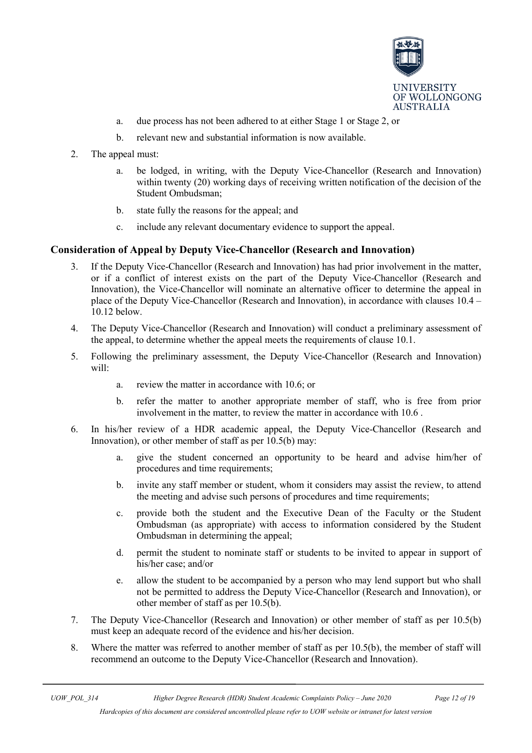

- a. due process has not been adhered to at either Stage 1 or Stage 2, or
- b. relevant new and substantial information is now available.
- 2. The appeal must:
	- a. be lodged, in writing, with the Deputy Vice-Chancellor (Research and Innovation) within twenty (20) working days of receiving written notification of the decision of the Student Ombudsman;
	- b. state fully the reasons for the appeal; and
	- c. include any relevant documentary evidence to support the appeal.

#### **Consideration of Appeal by Deputy Vice-Chancellor (Research and Innovation)**

- 3. If the Deputy Vice-Chancellor (Research and Innovation) has had prior involvement in the matter, or if a conflict of interest exists on the part of the Deputy Vice-Chancellor (Research and Innovation), the Vice-Chancellor will nominate an alternative officer to determine the appeal in place of the Deputy Vice-Chancellor (Research and Innovation), in accordance with clauses 10.4 – 10.12 below.
- 4. The Deputy Vice-Chancellor (Research and Innovation) will conduct a preliminary assessment of the appeal, to determine whether the appeal meets the requirements of clause 10.1.
- 5. Following the preliminary assessment, the Deputy Vice-Chancellor (Research and Innovation) will:
	- a. review the matter in accordance with 10.6; or
	- b. refer the matter to another appropriate member of staff, who is free from prior involvement in the matter, to review the matter in accordance with 10.6 .
- 6. In his/her review of a HDR academic appeal, the Deputy Vice-Chancellor (Research and Innovation), or other member of staff as per 10.5(b) may:
	- a. give the student concerned an opportunity to be heard and advise him/her of procedures and time requirements;
	- b. invite any staff member or student, whom it considers may assist the review, to attend the meeting and advise such persons of procedures and time requirements;
	- c. provide both the student and the Executive Dean of the Faculty or the Student Ombudsman (as appropriate) with access to information considered by the Student Ombudsman in determining the appeal;
	- d. permit the student to nominate staff or students to be invited to appear in support of his/her case; and/or
	- e. allow the student to be accompanied by a person who may lend support but who shall not be permitted to address the Deputy Vice-Chancellor (Research and Innovation), or other member of staff as per 10.5(b).
- 7. The Deputy Vice-Chancellor (Research and Innovation) or other member of staff as per 10.5(b) must keep an adequate record of the evidence and his/her decision.
- 8. Where the matter was referred to another member of staff as per 10.5(b), the member of staff will recommend an outcome to the Deputy Vice-Chancellor (Research and Innovation).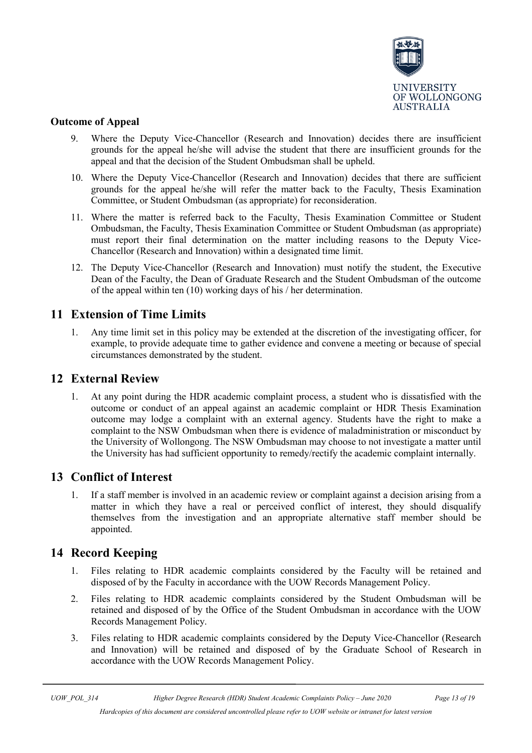

#### **Outcome of Appeal**

- 9. Where the Deputy Vice-Chancellor (Research and Innovation) decides there are insufficient grounds for the appeal he/she will advise the student that there are insufficient grounds for the appeal and that the decision of the Student Ombudsman shall be upheld.
- 10. Where the Deputy Vice-Chancellor (Research and Innovation) decides that there are sufficient grounds for the appeal he/she will refer the matter back to the Faculty, Thesis Examination Committee, or Student Ombudsman (as appropriate) for reconsideration.
- 11. Where the matter is referred back to the Faculty, Thesis Examination Committee or Student Ombudsman, the Faculty, Thesis Examination Committee or Student Ombudsman (as appropriate) must report their final determination on the matter including reasons to the Deputy Vice-Chancellor (Research and Innovation) within a designated time limit.
- 12. The Deputy Vice-Chancellor (Research and Innovation) must notify the student, the Executive Dean of the Faculty, the Dean of Graduate Research and the Student Ombudsman of the outcome of the appeal within ten (10) working days of his / her determination.

### <span id="page-12-0"></span>**11 Extension of Time Limits**

1. Any time limit set in this policy may be extended at the discretion of the investigating officer, for example, to provide adequate time to gather evidence and convene a meeting or because of special circumstances demonstrated by the student.

#### <span id="page-12-1"></span>**12 External Review**

1. At any point during the HDR academic complaint process, a student who is dissatisfied with the outcome or conduct of an appeal against an academic complaint or HDR Thesis Examination outcome may lodge a complaint with an external agency. Students have the right to make a complaint to the NSW Ombudsman when there is evidence of maladministration or misconduct by the University of Wollongong. The NSW Ombudsman may choose to not investigate a matter until the University has had sufficient opportunity to remedy/rectify the academic complaint internally.

## <span id="page-12-2"></span>**13 Conflict of Interest**

1. If a staff member is involved in an academic review or complaint against a decision arising from a matter in which they have a real or perceived conflict of interest, they should disqualify themselves from the investigation and an appropriate alternative staff member should be appointed.

## <span id="page-12-3"></span>**14 Record Keeping**

- 1. Files relating to HDR academic complaints considered by the Faculty will be retained and disposed of by the Faculty in accordance with the UOW Records Management Policy.
- 2. Files relating to HDR academic complaints considered by the Student Ombudsman will be retained and disposed of by the Office of the Student Ombudsman in accordance with the UOW Records Management Policy.
- 3. Files relating to HDR academic complaints considered by the Deputy Vice-Chancellor (Research and Innovation) will be retained and disposed of by the Graduate School of Research in accordance with the UOW Records Management Policy.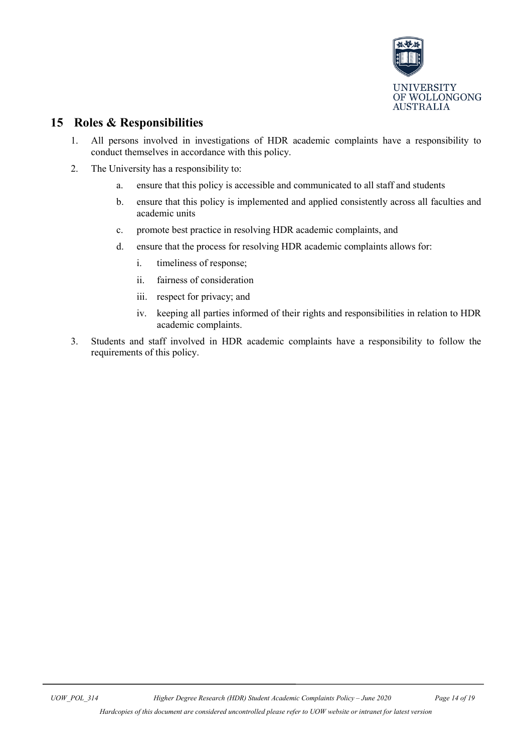

## **15 Roles & Responsibilities**

- <span id="page-13-0"></span>1. All persons involved in investigations of HDR academic complaints have a responsibility to conduct themselves in accordance with this policy.
- 2. The University has a responsibility to:
	- a. ensure that this policy is accessible and communicated to all staff and students
	- b. ensure that this policy is implemented and applied consistently across all faculties and academic units
	- c. promote best practice in resolving HDR academic complaints, and
	- d. ensure that the process for resolving HDR academic complaints allows for:
		- i. timeliness of response;
		- ii. fairness of consideration
		- iii. respect for privacy; and
		- iv. keeping all parties informed of their rights and responsibilities in relation to HDR academic complaints.
- 3. Students and staff involved in HDR academic complaints have a responsibility to follow the requirements of this policy.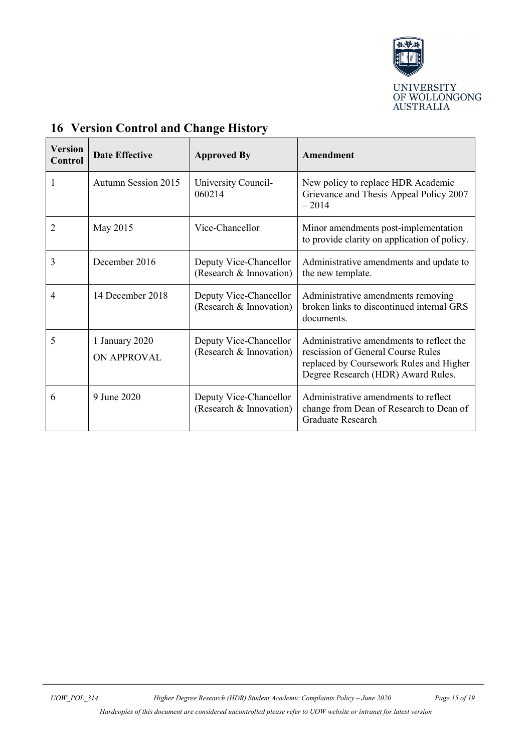

| <b>Version</b><br>Control | <b>Date Effective</b>         | <b>Approved By</b>                                | Amendment                                                                                                                                                       |
|---------------------------|-------------------------------|---------------------------------------------------|-----------------------------------------------------------------------------------------------------------------------------------------------------------------|
|                           | <b>Autumn Session 2015</b>    | University Council-<br>060214                     | New policy to replace HDR Academic<br>Grievance and Thesis Appeal Policy 2007<br>$-2014$                                                                        |
| 2                         | May 2015                      | Vice-Chancellor                                   | Minor amendments post-implementation<br>to provide clarity on application of policy.                                                                            |
| 3                         | December 2016                 | Deputy Vice-Chancellor<br>(Research & Innovation) | Administrative amendments and update to<br>the new template.                                                                                                    |
| 4                         | 14 December 2018              | Deputy Vice-Chancellor<br>(Research & Innovation) | Administrative amendments removing<br>broken links to discontinued internal GRS<br>documents.                                                                   |
| 5                         | 1 January 2020<br>ON APPROVAL | Deputy Vice-Chancellor<br>(Research & Innovation) | Administrative amendments to reflect the<br>rescission of General Course Rules<br>replaced by Coursework Rules and Higher<br>Degree Research (HDR) Award Rules. |
| 6                         | 9 June 2020                   | Deputy Vice-Chancellor<br>(Research & Innovation) | Administrative amendments to reflect<br>change from Dean of Research to Dean of<br><b>Graduate Research</b>                                                     |

## <span id="page-14-0"></span>**16 Version Control and Change History**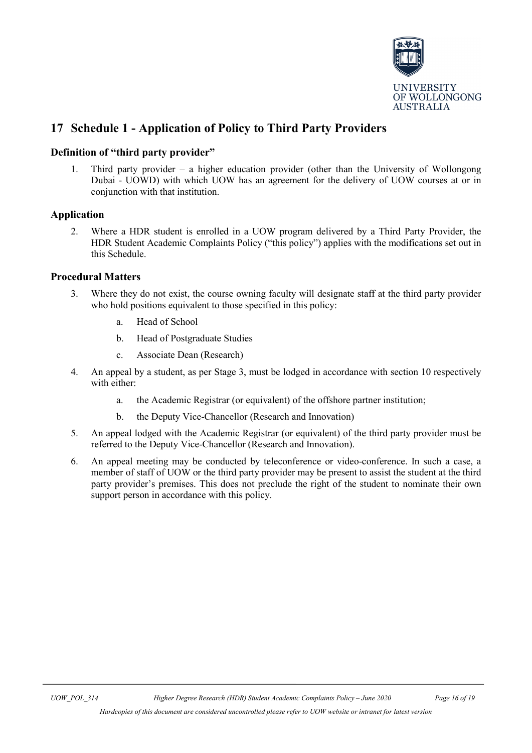

## **17 Schedule 1 - Application of Policy to Third Party Providers**

#### **Definition of "third party provider"**

1. Third party provider – a higher education provider (other than the University of Wollongong Dubai - UOWD) with which UOW has an agreement for the delivery of UOW courses at or in conjunction with that institution.

#### **Application**

2. Where a HDR student is enrolled in a UOW program delivered by a Third Party Provider, the HDR Student Academic Complaints Policy ("this policy") applies with the modifications set out in this Schedule.

#### **Procedural Matters**

- 3. Where they do not exist, the course owning faculty will designate staff at the third party provider who hold positions equivalent to those specified in this policy:
	- a. Head of School
	- b. Head of Postgraduate Studies
	- c. Associate Dean (Research)
- 4. An appeal by a student, as per Stage 3, must be lodged in accordance with section 10 respectively with either:
	- a. the Academic Registrar (or equivalent) of the offshore partner institution;
	- b. the Deputy Vice-Chancellor (Research and Innovation)
- 5. An appeal lodged with the Academic Registrar (or equivalent) of the third party provider must be referred to the Deputy Vice-Chancellor (Research and Innovation).
- 6. An appeal meeting may be conducted by teleconference or video-conference. In such a case, a member of staff of UOW or the third party provider may be present to assist the student at the third party provider's premises. This does not preclude the right of the student to nominate their own support person in accordance with this policy.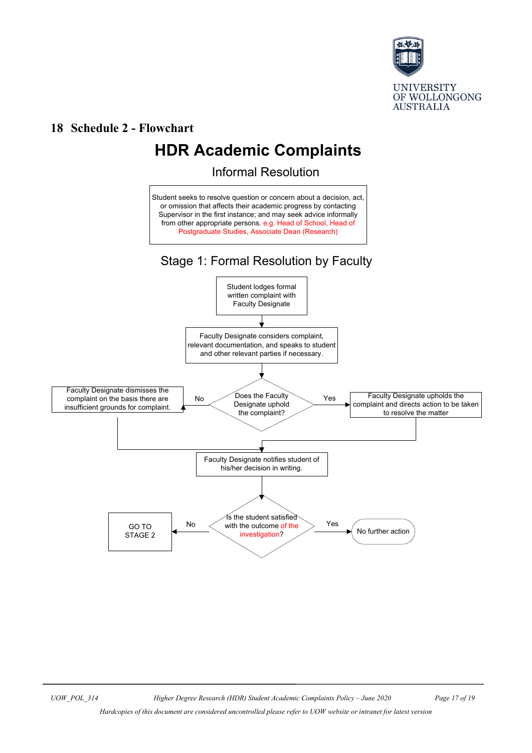

### **18 Schedule 2 - Flowchart**

# **HDR Academic Complaints**

Informal Resolution

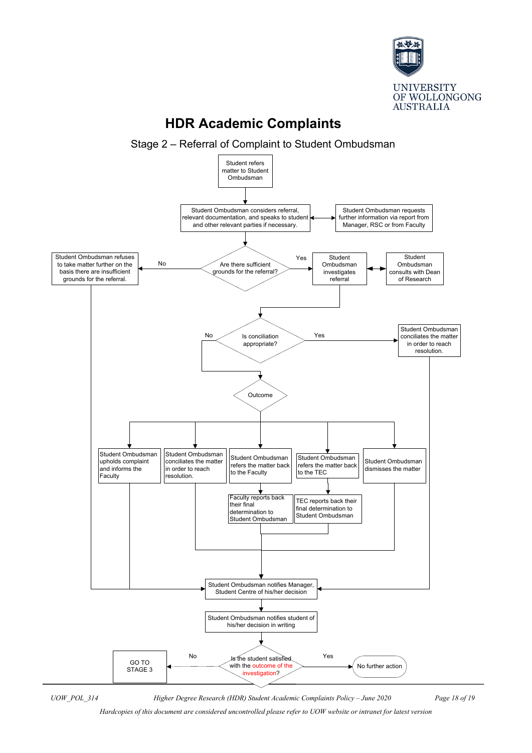

## **HDR Academic Complaints**

Stage 2 – Referral of Complaint to Student Ombudsman



*UOW\_POL\_314 Higher Degree Research (HDR) Student Academic Complaints Policy – June 2020 Page 18 of 19*